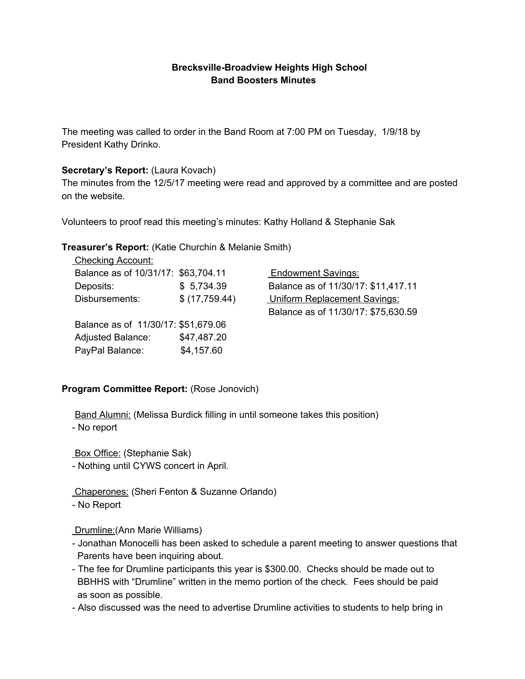## **Brecksville-Broadview Heights High School Band Boosters Minutes**

The meeting was called to order in the Band Room at 7:00 PM on Tuesday, 1/9/18 by President Kathy Drinko.

### **Secretary's Report:** (Laura Kovach)

The minutes from the 12/5/17 meeting were read and approved by a committee and are posted on the website.

Volunteers to proof read this meeting's minutes: Kathy Holland & Stephanie Sak

### **Treasurer's Report:** (Katie Churchin & Melanie Smith)

| <b>Checking Account:</b>            |               |                                     |
|-------------------------------------|---------------|-------------------------------------|
| Balance as of 10/31/17: \$63,704.11 |               | <b>Endowment Savings:</b>           |
| Deposits:                           | \$5,734.39    | Balance as of 11/30/17: \$11,417.11 |
| Disbursements:                      | \$(17,759.44) | <b>Uniform Replacement Savings:</b> |
|                                     |               | Balance as of 11/30/17: \$75,630.59 |
| Balance as of 11/30/17: \$51,679.06 |               |                                     |
| <b>Adjusted Balance:</b>            | \$47,487.20   |                                     |
| PayPal Balance:                     | \$4,157.60    |                                     |
|                                     |               |                                     |

## **Program Committee Report:** (Rose Jonovich)

Band Alumni: (Melissa Burdick filling in until someone takes this position)

- No report

Box Office: (Stephanie Sak)

- Nothing until CYWS concert in April.

Chaperones: (Sheri Fenton & Suzanne Orlando)

- No Report

Drumline:(Ann Marie Williams)

- Jonathan Monocelli has been asked to schedule a parent meeting to answer questions that Parents have been inquiring about.
- The fee for Drumline participants this year is \$300.00. Checks should be made out to BBHHS with "Drumline" written in the memo portion of the check. Fees should be paid as soon as possible.
- Also discussed was the need to advertise Drumline activities to students to help bring in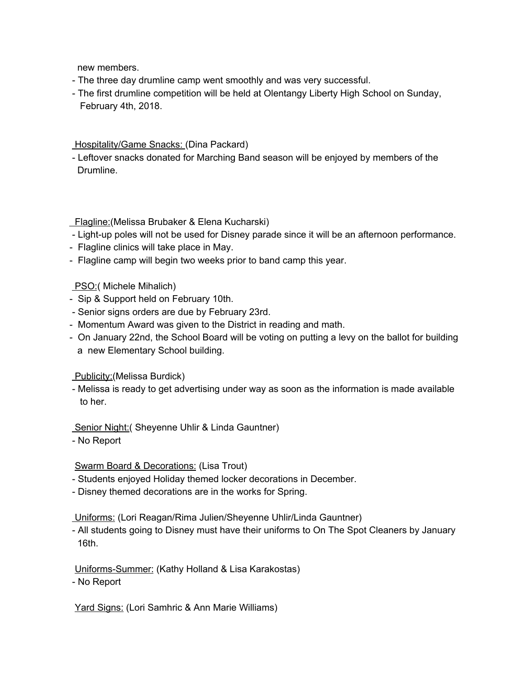new members.

- The three day drumline camp went smoothly and was very successful.
- The first drumline competition will be held at Olentangy Liberty High School on Sunday, February 4th, 2018.

### **Hospitality/Game Snacks: (Dina Packard)**

- Leftover snacks donated for Marching Band season will be enjoyed by members of the Drumline.

## Flagline:(Melissa Brubaker & Elena Kucharski)

- Light-up poles will not be used for Disney parade since it will be an afternoon performance.
- Flagline clinics will take place in May.
- Flagline camp will begin two weeks prior to band camp this year.

# PSO:( Michele Mihalich)

- Sip & Support held on February 10th.
- Senior signs orders are due by February 23rd.
- Momentum Award was given to the District in reading and math.
- On January 22nd, the School Board will be voting on putting a levy on the ballot for building a new Elementary School building.

## **Publicity:**(Melissa Burdick)

- Melissa is ready to get advertising under way as soon as the information is made available to her.

## Senior Night: (Sheyenne Uhlir & Linda Gauntner)

- No Report

Swarm Board & Decorations: (Lisa Trout)

- Students enjoyed Holiday themed locker decorations in December.
- Disney themed decorations are in the works for Spring.

Uniforms: (Lori Reagan/Rima Julien/Sheyenne Uhlir/Linda Gauntner)

- All students going to Disney must have their uniforms to On The Spot Cleaners by January 16th.

Uniforms-Summer: (Kathy Holland & Lisa Karakostas)

- No Report

Yard Signs: (Lori Samhric & Ann Marie Williams)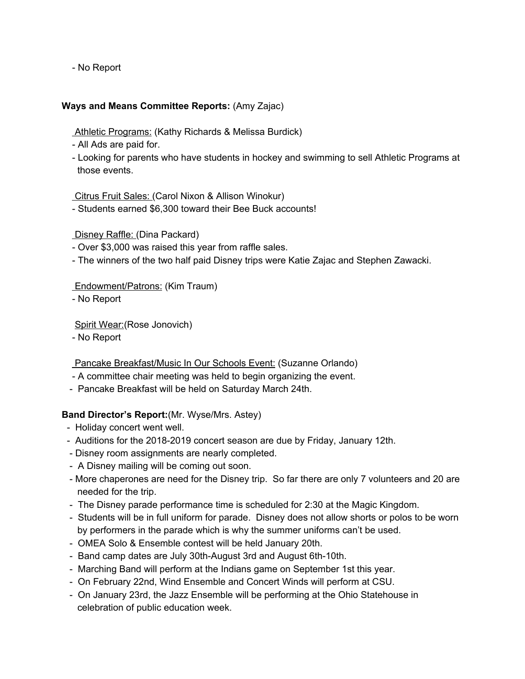- No Report

### **Ways and Means Committee Reports:** (Amy Zajac)

Athletic Programs: (Kathy Richards & Melissa Burdick)

- All Ads are paid for.
- Looking for parents who have students in hockey and swimming to sell Athletic Programs at those events.

Citrus Fruit Sales: (Carol Nixon & Allison Winokur)

- Students earned \$6,300 toward their Bee Buck accounts!

Disney Raffle: (Dina Packard)

- Over \$3,000 was raised this year from raffle sales.
- The winners of the two half paid Disney trips were Katie Zajac and Stephen Zawacki.

Endowment/Patrons: (Kim Traum)

- No Report

Spirit Wear:(Rose Jonovich)

- No Report

Pancake Breakfast/Music In Our Schools Event: (Suzanne Orlando)

- A committee chair meeting was held to begin organizing the event.
- Pancake Breakfast will be held on Saturday March 24th.

#### **Band Director's Report:**(Mr. Wyse/Mrs. Astey)

- Holiday concert went well.
- Auditions for the 2018-2019 concert season are due by Friday, January 12th.
- Disney room assignments are nearly completed.
- A Disney mailing will be coming out soon.
- More chaperones are need for the Disney trip. So far there are only 7 volunteers and 20 are needed for the trip.
- The Disney parade performance time is scheduled for 2:30 at the Magic Kingdom.
- Students will be in full uniform for parade. Disney does not allow shorts or polos to be worn by performers in the parade which is why the summer uniforms can't be used.
- OMEA Solo & Ensemble contest will be held January 20th.
- Band camp dates are July 30th-August 3rd and August 6th-10th.
- Marching Band will perform at the Indians game on September 1st this year.
- On February 22nd, Wind Ensemble and Concert Winds will perform at CSU.
- On January 23rd, the Jazz Ensemble will be performing at the Ohio Statehouse in celebration of public education week.